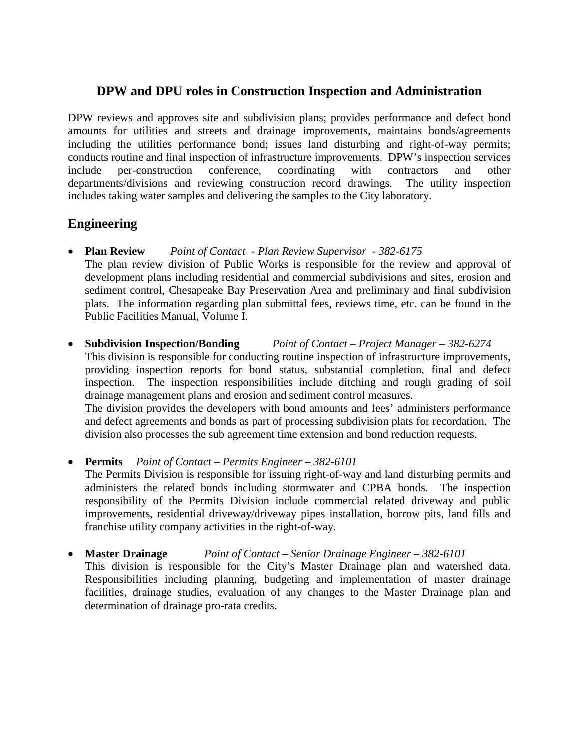## **DPW and DPU roles in Construction Inspection and Administration**

DPW reviews and approves site and subdivision plans; provides performance and defect bond amounts for utilities and streets and drainage improvements, maintains bonds/agreements including the utilities performance bond; issues land disturbing and right-of-way permits; conducts routine and final inspection of infrastructure improvements. DPW's inspection services include per-construction conference, coordinating with contractors and other departments/divisions and reviewing construction record drawings. The utility inspection includes taking water samples and delivering the samples to the City laboratory.

## **Engineering**

- **Plan Review** *Point of Contact Plan Review Supervisor 382-6175*  The plan review division of Public Works is responsible for the review and approval of development plans including residential and commercial subdivisions and sites, erosion and sediment control, Chesapeake Bay Preservation Area and preliminary and final subdivision plats. The information regarding plan submittal fees, reviews time, etc. can be found in the Public Facilities Manual, Volume I.
- **Subdivision Inspection/Bonding** *Point of Contact Project Manager 382-6274*

This division is responsible for conducting routine inspection of infrastructure improvements, providing inspection reports for bond status, substantial completion, final and defect inspection. The inspection responsibilities include ditching and rough grading of soil drainage management plans and erosion and sediment control measures.

The division provides the developers with bond amounts and fees' administers performance and defect agreements and bonds as part of processing subdivision plats for recordation. The division also processes the sub agreement time extension and bond reduction requests.

• **Permits** *Point of Contact – Permits Engineer – 382-6101*

The Permits Division is responsible for issuing right-of-way and land disturbing permits and administers the related bonds including stormwater and CPBA bonds. The inspection responsibility of the Permits Division include commercial related driveway and public improvements, residential driveway/driveway pipes installation, borrow pits, land fills and franchise utility company activities in the right-of-way.

• **Master Drainage** *Point of Contact – Senior Drainage Engineer – 382-6101*

This division is responsible for the City's Master Drainage plan and watershed data. Responsibilities including planning, budgeting and implementation of master drainage facilities, drainage studies, evaluation of any changes to the Master Drainage plan and determination of drainage pro-rata credits.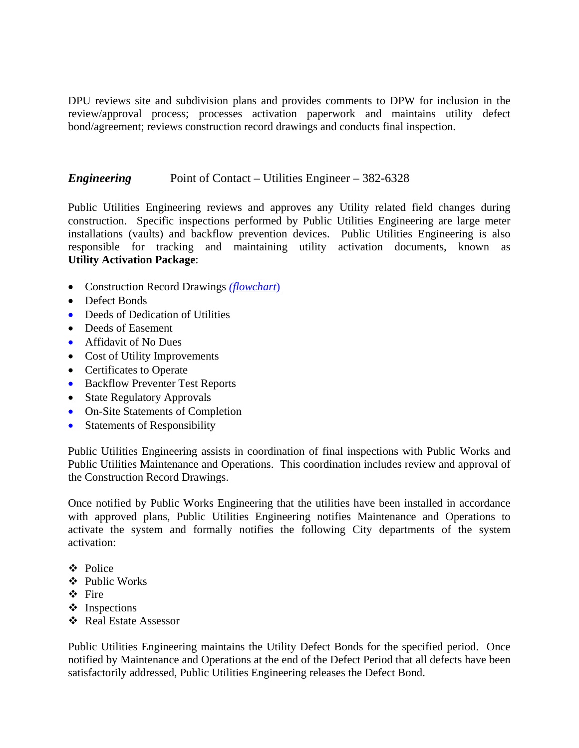DPU reviews site and subdivision plans and provides comments to DPW for inclusion in the review/approval process; processes activation paperwork and maintains utility defect bond/agreement; reviews construction record drawings and conducts final inspection.

## *Engineering* Point of Contact – Utilities Engineer – 382-6328

Public Utilities Engineering reviews and approves any Utility related field changes during construction. Specific inspections performed by Public Utilities Engineering are large meter installations (vaults) and backflow prevention devices. Public Utilities Engineering is also responsible for tracking and maintaining utility activation documents, known as **Utility Activation Package**:

- Construction Record Drawings *(flowchart*)
- Defect Bonds
- Deeds of Dedication of Utilities
- Deeds of Easement
- Affidavit of No Dues
- Cost of Utility Improvements
- Certificates to Operate
- Backflow Preventer Test Reports
- State Regulatory Approvals
- On-Site Statements of Completion
- Statements of Responsibility

Public Utilities Engineering assists in coordination of final inspections with Public Works and Public Utilities Maintenance and Operations. This coordination includes review and approval of the Construction Record Drawings.

Once notified by Public Works Engineering that the utilities have been installed in accordance with approved plans, Public Utilities Engineering notifies Maintenance and Operations to activate the system and formally notifies the following City departments of the system activation:

- Police
- ❖ Public Works
- Fire
- $\div$  Inspections
- Real Estate Assessor

Public Utilities Engineering maintains the Utility Defect Bonds for the specified period. Once notified by Maintenance and Operations at the end of the Defect Period that all defects have been satisfactorily addressed, Public Utilities Engineering releases the Defect Bond.